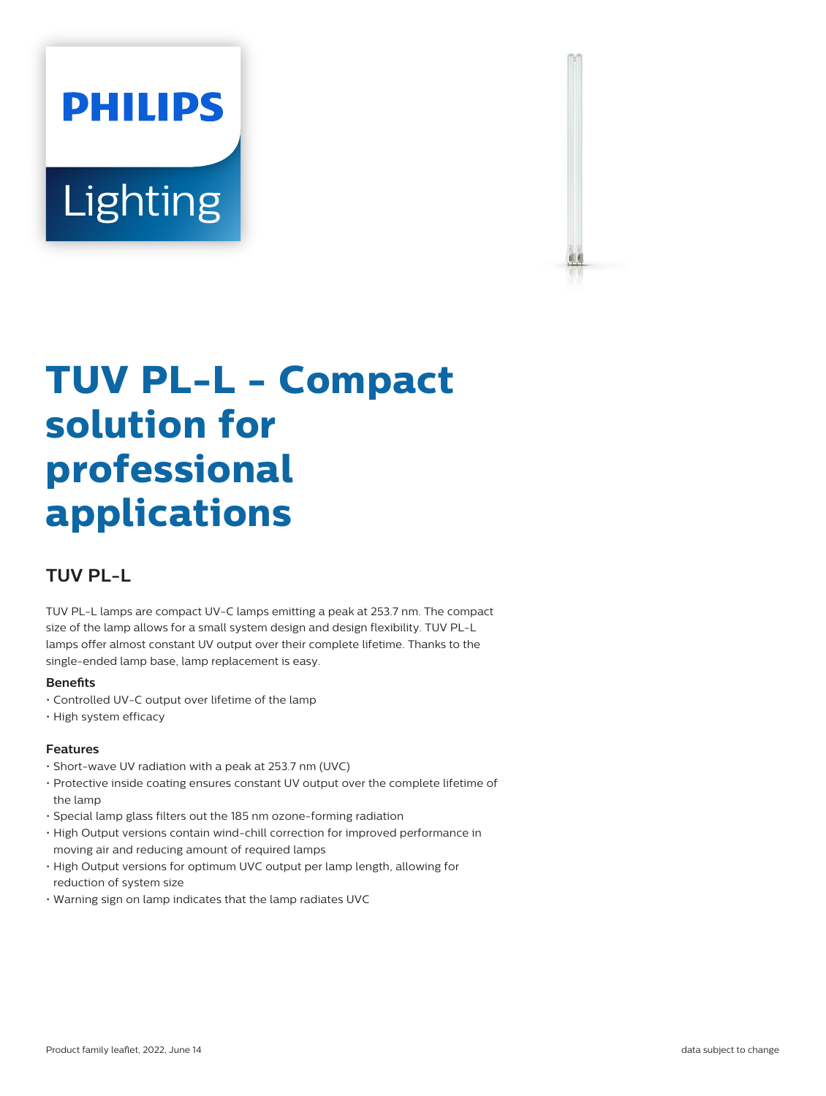# **PHILIPS** Lighting



# **TUV PL-L - Compact solution for professional applications**

## **TUV PL-L**

TUV PL-L lamps are compact UV-C lamps emitting a peak at 253.7 nm. The compact size of the lamp allows for a small system design and design flexibility. TUV PL-L lamps offer almost constant UV output over their complete lifetime. Thanks to the single-ended lamp base, lamp replacement is easy.

#### **Benets**

- Controlled UV-C output over lifetime of the lamp
- High system efficacy

#### **Features**

- Short-wave UV radiation with a peak at 253.7 nm (UVC)
- Protective inside coating ensures constant UV output over the complete lifetime of the lamp
- Special lamp glass filters out the 185 nm ozone-forming radiation
- High Output versions contain wind-chill correction for improved performance in moving air and reducing amount of required lamps
- High Output versions for optimum UVC output per lamp length, allowing for reduction of system size
- Warning sign on lamp indicates that the lamp radiates UVC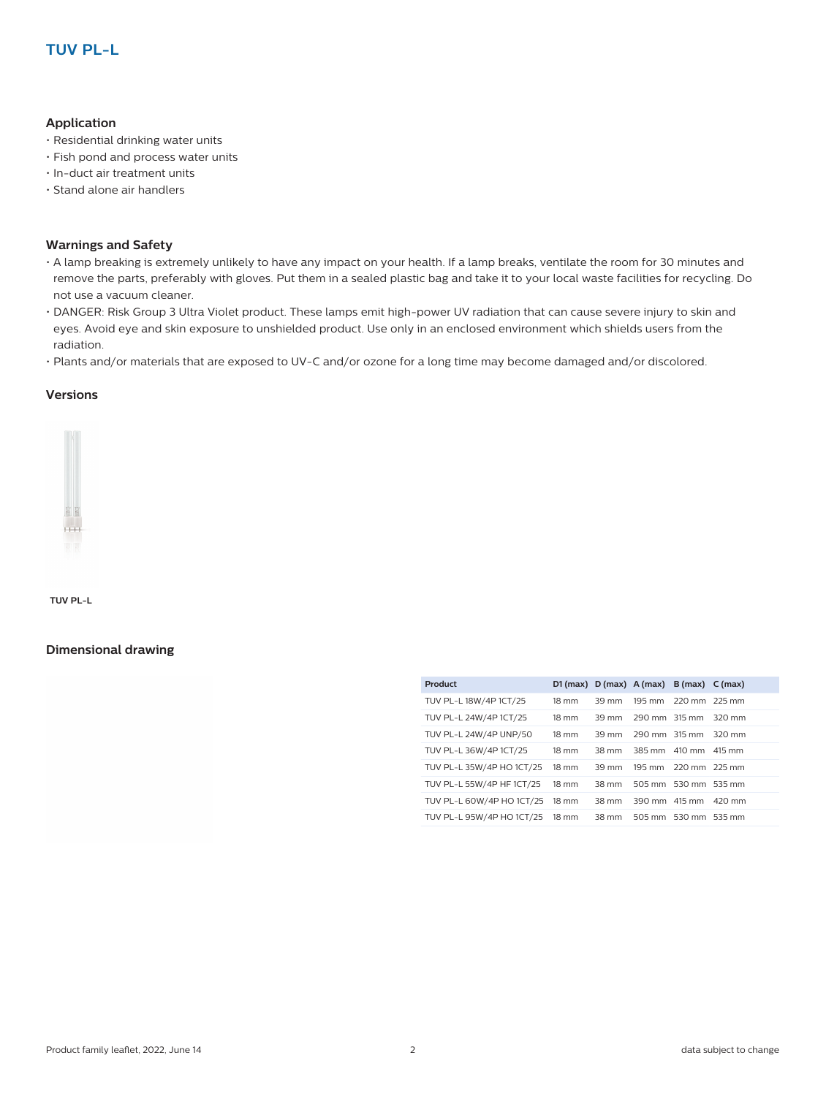#### **Application**

- Residential drinking water units
- Fish pond and process water units
- In-duct air treatment units
- Stand alone air handlers

#### **Warnings and Safety**

- A lamp breaking is extremely unlikely to have any impact on your health. If a lamp breaks, ventilate the room for 30 minutes and remove the parts, preferably with gloves. Put them in a sealed plastic bag and take it to your local waste facilities for recycling. Do not use a vacuum cleaner.
- DANGER: Risk Group 3 Ultra Violet product. These lamps emit high-power UV radiation that can cause severe injury to skin and eyes. Avoid eye and skin exposure to unshielded product. Use only in an enclosed environment which shields users from the radiation.
- Plants and/or materials that are exposed to UV-C and/or ozone for a long time may become damaged and/or discolored.

#### **Versions**



**TUV PL-L**

#### **Dimensional drawing**

| $18 \text{ mm}$ | 39 mm |  |                                                                                                                                                                                                                             |
|-----------------|-------|--|-----------------------------------------------------------------------------------------------------------------------------------------------------------------------------------------------------------------------------|
| $18 \text{ mm}$ | 39 mm |  | 320 mm                                                                                                                                                                                                                      |
| $18 \text{ mm}$ | 39 mm |  | 320 mm                                                                                                                                                                                                                      |
| $18 \text{ mm}$ | 38 mm |  | 415 mm                                                                                                                                                                                                                      |
| $18 \text{ mm}$ | 39 mm |  |                                                                                                                                                                                                                             |
| $18 \text{ mm}$ | 38 mm |  |                                                                                                                                                                                                                             |
| 18 mm           | 38 mm |  |                                                                                                                                                                                                                             |
| 18 mm           | 38 mm |  |                                                                                                                                                                                                                             |
|                 |       |  | D1 (max) $D$ (max) $A$ (max) $B$ (max) $C$ (max)<br>195 mm 220 mm 225 mm<br>290 mm 315 mm<br>290 mm 315 mm<br>385 mm 410 mm<br>195 mm 220 mm 225 mm<br>505 mm 530 mm 535 mm<br>390 mm 415 mm 420 mm<br>505 mm 530 mm 535 mm |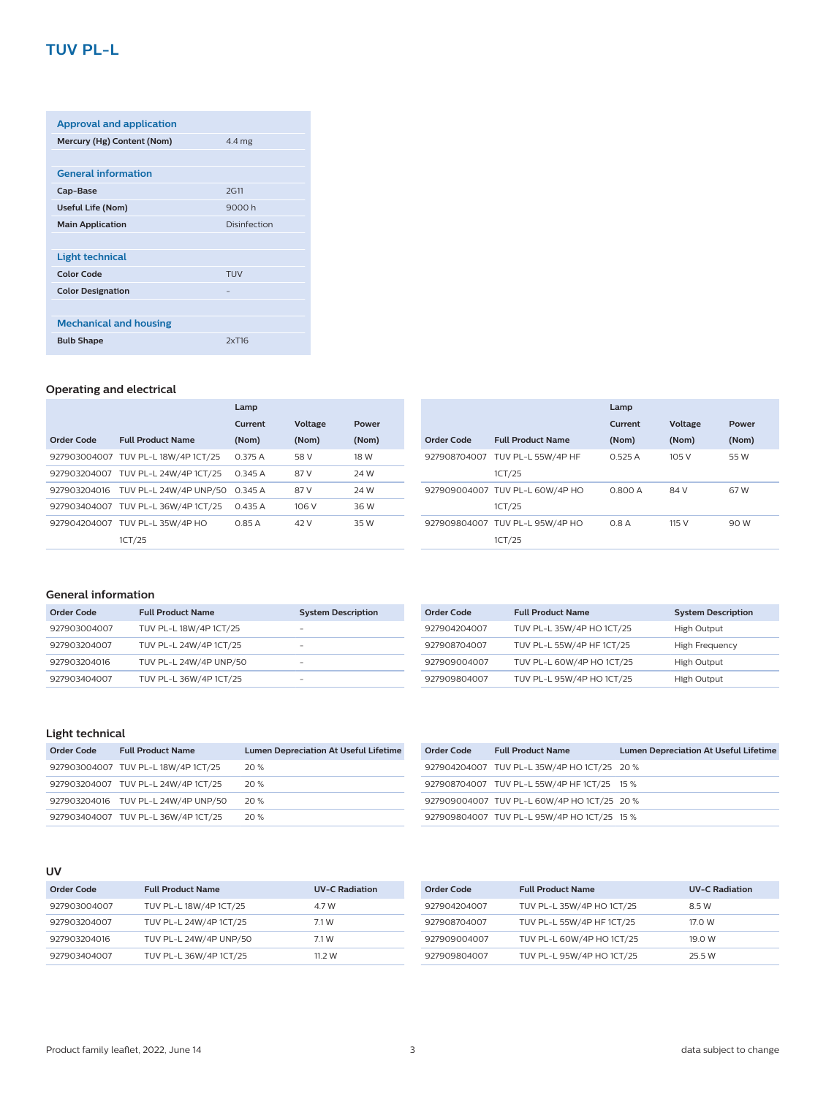### **TUV PL-L**

| <b>Approval and application</b> |                  |
|---------------------------------|------------------|
| Mercury (Hg) Content (Nom)      | $4.4 \text{ mg}$ |
|                                 |                  |
| <b>General information</b>      |                  |
| Cap-Base                        | 2G11             |
| <b>Useful Life (Nom)</b>        | 9000 h           |
| <b>Main Application</b>         | Disinfection     |
|                                 |                  |
| Light technical                 |                  |
| Color Code                      | TUV              |
| <b>Color Designation</b>        |                  |
|                                 |                  |
| <b>Mechanical and housing</b>   |                  |
| <b>Bulb Shape</b>               | 2xT16            |

#### **Operating and electrical**

|              |                                     | Lamp    |                |       |
|--------------|-------------------------------------|---------|----------------|-------|
|              |                                     | Current | <b>Voltage</b> | Power |
| Order Code   | <b>Full Product Name</b>            | (Nom)   | (Nom)          | (Nom) |
|              | 927903004007 TUV PL-L 18W/4P 1CT/25 | 0.375A  | 58 V           | 18 W  |
|              | 927903204007 TUV PL-L 24W/4P 1CT/25 | 0.345A  | 87 V           | 24 W  |
| 927903204016 | TUV PL-L 24W/4P UNP/50              | 0.345A  | 87 V           | 24 W  |
|              | 927903404007 TUV PL-L 36W/4P 1CT/25 | 0.435A  | 106 V          | 36 W  |
|              | 927904204007 TUV PL-L 35W/4P HO     | 0.85A   | 42 V           | 35 W  |
|              | 1CT/25                              |         |                |       |

|            |                                           | Lamp    |         |       |
|------------|-------------------------------------------|---------|---------|-------|
|            |                                           | Current | Voltage | Power |
| Order Code | <b>Full Product Name</b>                  | (Nom)   | (Nom)   | (Nom) |
|            | 927908704007 TUV PL-L 55W/4P HF<br>1CT/25 | 0.525A  | 105 V   | 55 W  |
|            | 927909004007 TUV PL-L 60W/4P HO<br>1CT/25 | 0.800 A | 84 V    | 67 W  |
|            | 927909804007 TUV PL-L 95W/4P HO<br>1CT/25 | 0.8A    | 115 V   | 90 W  |

#### **General information**

| Order Code   | <b>Full Product Name</b> | <b>System Description</b> |
|--------------|--------------------------|---------------------------|
| 927903004007 | TUV PL-L 18W/4P 1CT/25   | -                         |
| 927903204007 | TUV PL-L 24W/4P 1CT/25   | -                         |
| 927903204016 | TUV PL-L 24W/4P UNP/50   | -                         |
| 927903404007 | TUV PL-L 36W/4P 1CT/25   | -                         |

| Order Code   | <b>Full Product Name</b>  | <b>System Description</b> |
|--------------|---------------------------|---------------------------|
| 927904204007 | TUV PL-L 35W/4P HO 1CT/25 | High Output               |
| 927908704007 | TUV PL-L 55W/4P HF 1CT/25 | High Frequency            |
| 927909004007 | TUV PL-L 60W/4P HO 1CT/25 | High Output               |
| 927909804007 | TUV PL-L 95W/4P HO 1CT/25 | High Output               |

#### **Light technical**

| Order Code | <b>Full Product Name</b>            | <b>Lumen Depreciation At Useful Lifetime</b> |
|------------|-------------------------------------|----------------------------------------------|
|            | 927903004007 TUV PL-L 18W/4P 1CT/25 | 20 %                                         |
|            | 927903204007 TUV PL-L 24W/4P 1CT/25 | 20 %                                         |
|            | 927903204016 TUV PL-L 24W/4P UNP/50 | 20 %                                         |
|            | 927903404007 TUV PL-L 36W/4P 1CT/25 | 20%                                          |

| Order Code | <b>Full Product Name</b>                    | <b>Lumen Depreciation At Useful Lifetime</b> |
|------------|---------------------------------------------|----------------------------------------------|
|            | 927904204007 TUV PL-L 35W/4P HO 1CT/25 20 % |                                              |
|            | 927908704007 TUV PL-L 55W/4P HF 1CT/25 15 % |                                              |
|            | 927909004007 TUV PL-L 60W/4P HO 1CT/25 20 % |                                              |
|            | 927909804007 TUV PL-L 95W/4P HO 1CT/25 15 % |                                              |

#### **UV**

| Order Code   | <b>Full Product Name</b> | <b>UV-C Radiation</b> |
|--------------|--------------------------|-----------------------|
| 927903004007 | TUV PL-L 18W/4P 1CT/25   | 4.7 W                 |
| 927903204007 | TUV PL-L 24W/4P 1CT/25   | 71W                   |
| 927903204016 | TUV PL-L 24W/4P UNP/50   | 71W                   |
| 927903404007 | TUV PL-L 36W/4P 1CT/25   | 11 2 W                |

| Order Code   | <b>Full Product Name</b>  | <b>UV-C Radiation</b> |
|--------------|---------------------------|-----------------------|
| 927904204007 | TUV PL-L 35W/4P HO 1CT/25 | 8.5 W                 |
| 927908704007 | TUV PL-L 55W/4P HF 1CT/25 | 17.0 W                |
| 927909004007 | TUV PL-L 60W/4P HO 1CT/25 | 19.0 W                |
| 927909804007 | TUV PL-L 95W/4P HO 1CT/25 | 25 5 W                |